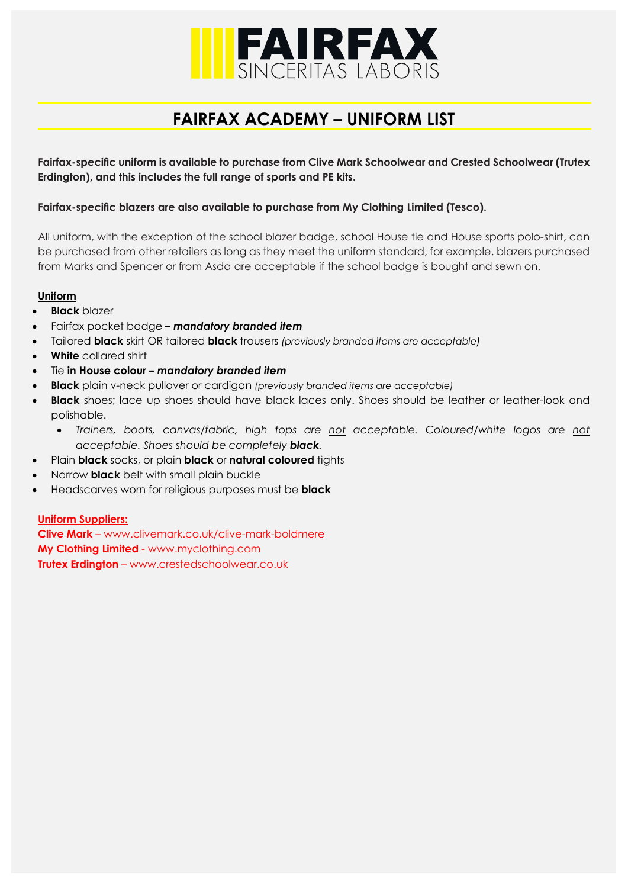

# **FAIRFAX ACADEMY – UNIFORM LIST**

**Fairfax-specific uniform is available to purchase from Clive Mark Schoolwear and Crested Schoolwear (Trutex Erdington), and this includes the full range of sports and PE kits.**

## **Fairfax-specific blazers are also available to purchase from My Clothing Limited (Tesco).**

All uniform, with the exception of the school blazer badge, school House tie and House sports polo-shirt, can be purchased from other retailers as long as they meet the uniform standard, for example, blazers purchased from Marks and Spencer or from Asda are acceptable if the school badge is bought and sewn on.

#### **Uniform**

- **Black** blazer
- Fairfax pocket badge *– mandatory branded item*
- Tailored **black** skirt OR tailored **black** trousers *(previously branded items are acceptable)*
- **White** collared shirt
- Tie **in House colour** *– mandatory branded item*
- **Black** plain v-neck pullover or cardigan *(previously branded items are acceptable)*
- **Black** shoes; lace up shoes should have black laces only. Shoes should be leather or leather-look and polishable.
	- *Trainers, boots, canvas/fabric, high tops are not acceptable. Coloured/white logos are not acceptable. Shoes should be completely black.*
- Plain **black** socks, or plain **black** or **natural coloured** tights
- Narrow **black** belt with small plain buckle
- Headscarves worn for religious purposes must be **black**

#### **Uniform Suppliers:**

**Clive Mark** – www.clivemark.co.uk/clive-mark-boldmere **My Clothing Limited** - [www.myclothing.com](http://www.myclothing.com/) **Trutex Erdington** – [www.crestedschoolwear.co.uk](http://www.crestedschoolwear.co.uk/)